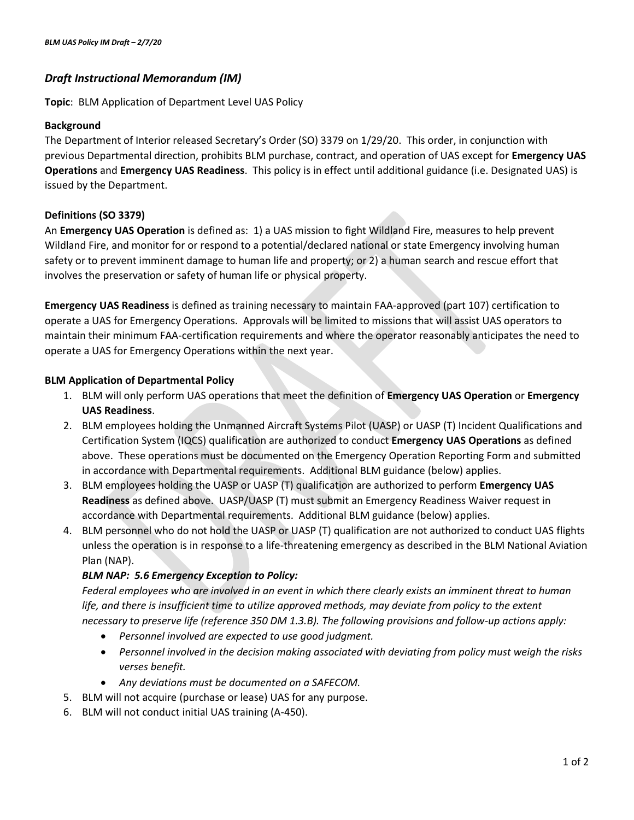# *Draft Instructional Memorandum (IM)*

**Topic**: BLM Application of Department Level UAS Policy

### **Background**

The Department of Interior released Secretary's Order (SO) 3379 on 1/29/20. This order, in conjunction with previous Departmental direction, prohibits BLM purchase, contract, and operation of UAS except for **Emergency UAS Operations** and **Emergency UAS Readiness**. This policy is in effect until additional guidance (i.e. Designated UAS) is issued by the Department.

## **Definitions (SO 3379)**

An **Emergency UAS Operation** is defined as: 1) a UAS mission to fight Wildland Fire, measures to help prevent Wildland Fire, and monitor for or respond to a potential/declared national or state Emergency involving human safety or to prevent imminent damage to human life and property; or 2) a human search and rescue effort that involves the preservation or safety of human life or physical property.

**Emergency UAS Readiness** is defined as training necessary to maintain FAA-approved (part 107) certification to operate a UAS for Emergency Operations. Approvals will be limited to missions that will assist UAS operators to maintain their minimum FAA-certification requirements and where the operator reasonably anticipates the need to operate a UAS for Emergency Operations within the next year.

### **BLM Application of Departmental Policy**

- 1. BLM will only perform UAS operations that meet the definition of **Emergency UAS Operation** or **Emergency UAS Readiness**.
- 2. BLM employees holding the Unmanned Aircraft Systems Pilot (UASP) or UASP (T) Incident Qualifications and Certification System (IQCS) qualification are authorized to conduct **Emergency UAS Operations** as defined above. These operations must be documented on the Emergency Operation Reporting Form and submitted in accordance with Departmental requirements. Additional BLM guidance (below) applies.
- 3. BLM employees holding the UASP or UASP (T) qualification are authorized to perform **Emergency UAS Readiness** as defined above. UASP/UASP (T) must submit an Emergency Readiness Waiver request in accordance with Departmental requirements. Additional BLM guidance (below) applies.
- 4. BLM personnel who do not hold the UASP or UASP (T) qualification are not authorized to conduct UAS flights unless the operation is in response to a life-threatening emergency as described in the BLM National Aviation Plan (NAP).

## *BLM NAP: 5.6 Emergency Exception to Policy:*

*Federal employees who are involved in an event in which there clearly exists an imminent threat to human life, and there is insufficient time to utilize approved methods, may deviate from policy to the extent necessary to preserve life (reference 350 DM 1.3.B). The following provisions and follow-up actions apply:*

- *Personnel involved are expected to use good judgment.*
- *Personnel involved in the decision making associated with deviating from policy must weigh the risks verses benefit.*
- *Any deviations must be documented on a SAFECOM.*
- 5. BLM will not acquire (purchase or lease) UAS for any purpose.
- 6. BLM will not conduct initial UAS training (A-450).